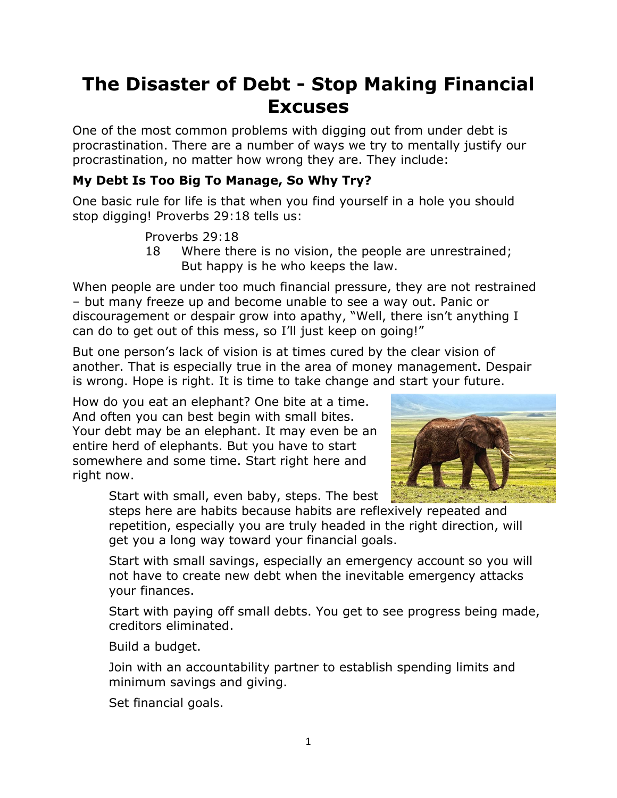# **The Disaster of Debt - Stop Making Financial Excuses**

One of the most common problems with digging out from under debt is procrastination. There are a number of ways we try to mentally justify our procrastination, no matter how wrong they are. They include:

### **My Debt Is Too Big To Manage, So Why Try?**

One basic rule for life is that when you find yourself in a hole you should stop digging! Proverbs 29:18 tells us:

Proverbs 29:18

18 Where there is no vision, the people are unrestrained; But happy is he who keeps the law.

When people are under too much financial pressure, they are not restrained – but many freeze up and become unable to see a way out. Panic or discouragement or despair grow into apathy, "Well, there isn't anything I can do to get out of this mess, so I'll just keep on going!"

But one person's lack of vision is at times cured by the clear vision of another. That is especially true in the area of money management. Despair is wrong. Hope is right. It is time to take change and start your future.

How do you eat an elephant? One bite at a time. And often you can best begin with small bites. Your debt may be an elephant. It may even be an entire herd of elephants. But you have to start somewhere and some time. Start right here and right now.

Start with small, even baby, steps. The best



steps here are habits because habits are reflexively repeated and repetition, especially you are truly headed in the right direction, will get you a long way toward your financial goals.

Start with small savings, especially an emergency account so you will not have to create new debt when the inevitable emergency attacks your finances.

Start with paying off small debts. You get to see progress being made, creditors eliminated.

Build a budget.

Join with an accountability partner to establish spending limits and minimum savings and giving.

Set financial goals.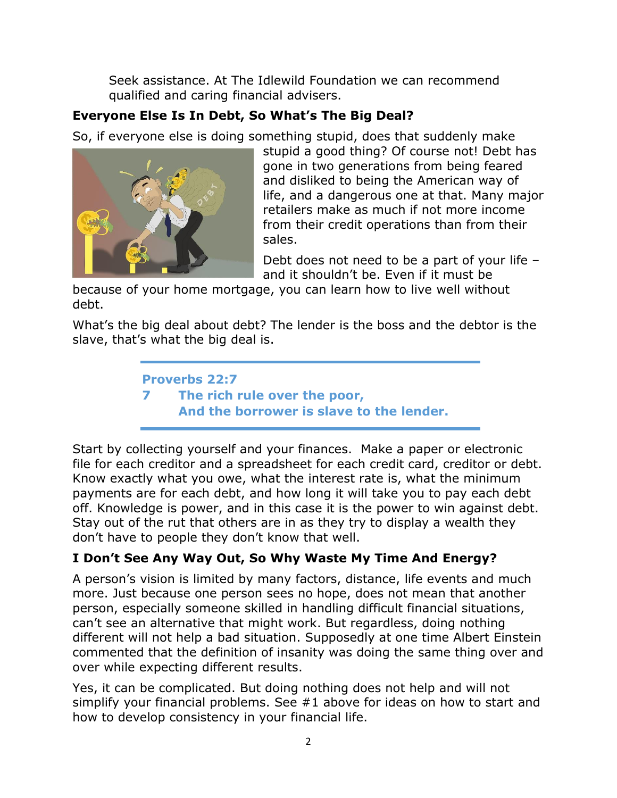Seek assistance. At The Idlewild Foundation we can recommend qualified and caring financial advisers.

## **Everyone Else Is In Debt, So What's The Big Deal?**

So, if everyone else is doing something stupid, does that suddenly make



stupid a good thing? Of course not! Debt has gone in two generations from being feared and disliked to being the American way of life, and a dangerous one at that. Many major retailers make as much if not more income from their credit operations than from their sales.

Debt does not need to be a part of your life – and it shouldn't be. Even if it must be

because of your home mortgage, you can learn how to live well without debt.

What's the big deal about debt? The lender is the boss and the debtor is the slave, that's what the big deal is.

> **Proverbs 22:7 7 The rich rule over the poor, And the borrower is slave to the lender.**

Start by collecting yourself and your finances. Make a paper or electronic file for each creditor and a spreadsheet for each credit card, creditor or debt. Know exactly what you owe, what the interest rate is, what the minimum payments are for each debt, and how long it will take you to pay each debt off. Knowledge is power, and in this case it is the power to win against debt. Stay out of the rut that others are in as they try to display a wealth they don't have to people they don't know that well.

### **I Don't See Any Way Out, So Why Waste My Time And Energy?**

A person's vision is limited by many factors, distance, life events and much more. Just because one person sees no hope, does not mean that another person, especially someone skilled in handling difficult financial situations, can't see an alternative that might work. But regardless, doing nothing different will not help a bad situation. Supposedly at one time Albert Einstein commented that the definition of insanity was doing the same thing over and over while expecting different results.

Yes, it can be complicated. But doing nothing does not help and will not simplify your financial problems. See #1 above for ideas on how to start and how to develop consistency in your financial life.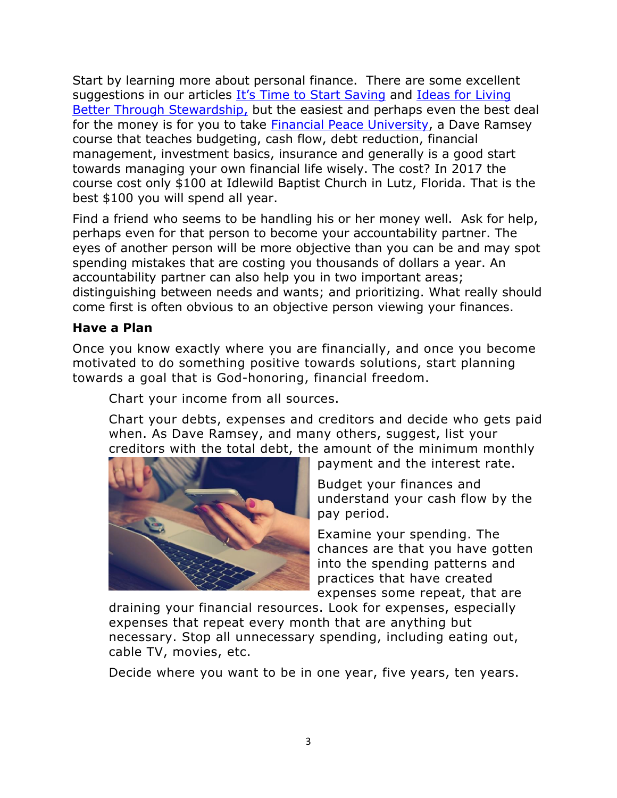Start by learning more about personal finance. There are some excellent suggestions in our articles [It's Time to Start Saving](http://www.idlewildfoundation.com/resources-item/time-start-saving/) and [Ideas for Living](http://www.idlewildfoundation.com/resources-item/ideas-living-better-stewardship/)  [Better Through Stewardship,](http://www.idlewildfoundation.com/resources-item/ideas-living-better-stewardship/) but the easiest and perhaps even the best deal for the money is for you to take [Financial Peace University,](https://www.daveramsey.com/fpu/) a Dave Ramsey course that teaches budgeting, cash flow, debt reduction, financial management, investment basics, insurance and generally is a good start towards managing your own financial life wisely. The cost? In 2017 the course cost only \$100 at Idlewild Baptist Church in Lutz, Florida. That is the best \$100 you will spend all year.

Find a friend who seems to be handling his or her money well. Ask for help, perhaps even for that person to become your accountability partner. The eyes of another person will be more objective than you can be and may spot spending mistakes that are costing you thousands of dollars a year. An accountability partner can also help you in two important areas; distinguishing between needs and wants; and prioritizing. What really should come first is often obvious to an objective person viewing your finances.

#### **Have a Plan**

Once you know exactly where you are financially, and once you become motivated to do something positive towards solutions, start planning towards a goal that is God-honoring, financial freedom.

Chart your income from all sources.

Chart your debts, expenses and creditors and decide who gets paid when. As Dave Ramsey, and many others, suggest, list your creditors with the total debt, the amount of the minimum monthly



payment and the interest rate.

Budget your finances and understand your cash flow by the pay period.

Examine your spending. The chances are that you have gotten into the spending patterns and practices that have created expenses some repeat, that are

draining your financial resources. Look for expenses, especially expenses that repeat every month that are anything but necessary. Stop all unnecessary spending, including eating out, cable TV, movies, etc.

Decide where you want to be in one year, five years, ten years.